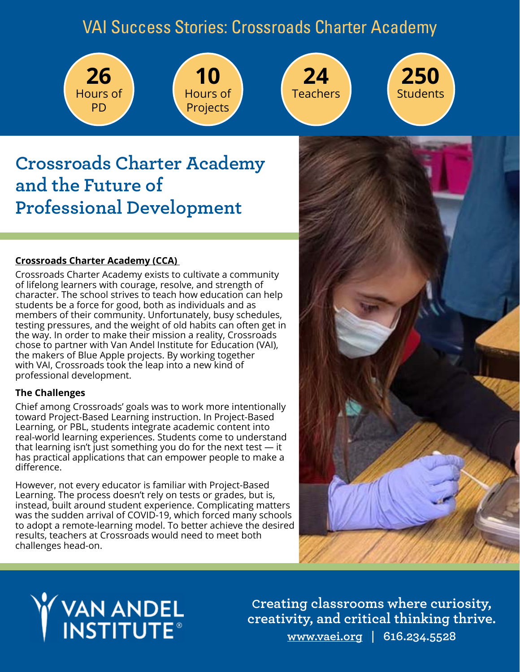## VAI Success Stories: Crossroads Charter Academy









## **[Crossroads Charter Academy](https://www.ccabr.org/) and the Future of Professional Development**

#### **[Crossroads Charter Academy \(CCA\)](https://www.ccabr.org/)**

Crossroads Charter Academy exists to cultivate a community of lifelong learners with courage, resolve, and strength of character. The school strives to teach how education can help students be a force for good, both as individuals and as members of their community. Unfortunately, busy schedules, testing pressures, and the weight of old habits can often get in the way. In order to make their mission a reality, Crossroads chose to partner with Van Andel Institute for Education (VAI), the makers of Blue Apple projects. By working together with VAI, Crossroads took the leap into a new kind of professional development.

#### **The Challenges**

Chief among Crossroads' goals was to work more intentionally toward Project-Based Learning instruction. In Project-Based Learning, or PBL, students integrate academic content into real-world learning experiences. Students come to understand that learning isn't just something you do for the next test — it has practical applications that can empower people to make a difference.

However, not every educator is familiar with Project-Based Learning. The process doesn't rely on tests or grades, but is, instead, built around student experience. Complicating matters was the sudden arrival of COVID-19, which forced many schools to adopt a remote-learning model. To better achieve the desired results, teachers at Crossroads would need to meet both challenges head-on.



# **VAN ANDEL<br>INSTITUTE®**

**Creating classrooms where curiosity, [creativity, and critical thinking thrive.](https://www.blueappleteacher.org/)  [www.vaei.org](https://vaei.vai.org/) | 616.234.5528**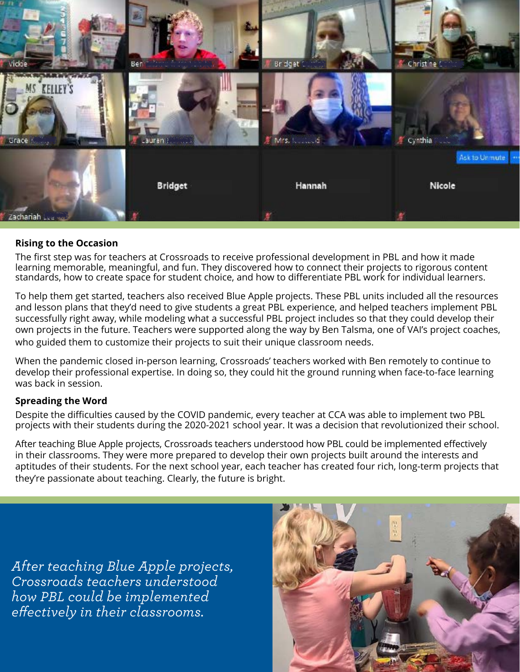

#### **Rising to the Occasion**

The first step was for teachers at Crossroads to receive professional development in PBL and how it made learning memorable, meaningful, and fun. They discovered how to connect their projects to rigorous content standards, how to create space for student choice, and how to differentiate PBL work for individual learners.

To help them get started, teachers also received Blue Apple projects. These PBL units included all the resources and lesson plans that they'd need to give students a great PBL experience, and helped teachers implement PBL successfully right away, while modeling what a successful PBL project includes so that they could develop their own projects in the future. Teachers were supported along the way by Ben Talsma, one of VAI's project coaches, who guided them to customize their projects to suit their unique classroom needs.

When the pandemic closed in-person learning, Crossroads' teachers worked with Ben remotely to continue to develop their professional expertise. In doing so, they could hit the ground running when face-to-face learning was back in session.

#### **Spreading the Word**

Despite the difficulties caused by the COVID pandemic, every teacher at CCA was able to implement two PBL projects with their students during the 2020-2021 school year. It was a decision that revolutionized their school.

After teaching Blue Apple projects, Crossroads teachers understood how PBL could be implemented effectively in their classrooms. They were more prepared to develop their own projects built around the interests and aptitudes of their students. For the next school year, each teacher has created four rich, long-term projects that they're passionate about teaching. Clearly, the future is bright.

*[After teaching Blue Apple projects,](https://www.blueappleteacher.org/)  Crossroads teachers understood how PBL could be implemented effectively in their classrooms.*